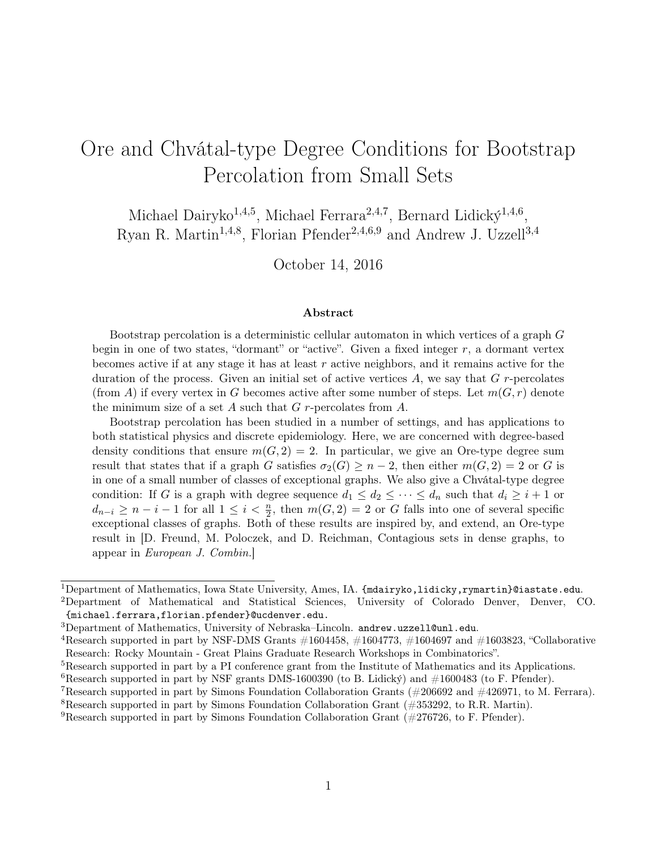# Ore and Chvátal-type Degree Conditions for Bootstrap Percolation from Small Sets

Michael Dairyko<sup>1,4,5</sup>, Michael Ferrara<sup>2,4,7</sup>, Bernard Lidický<sup>1,4,6</sup>, Ryan R. Martin<sup>1,4,8</sup>, Florian Pfender<sup>2,4,6,9</sup> and Andrew J. Uzzell<sup>3,4</sup>

October 14, 2016

#### Abstract

Bootstrap percolation is a deterministic cellular automaton in which vertices of a graph G begin in one of two states, "dormant" or "active". Given a fixed integer r, a dormant vertex becomes active if at any stage it has at least  $r$  active neighbors, and it remains active for the duration of the process. Given an initial set of active vertices  $A$ , we say that  $G$  r-percolates (from A) if every vertex in G becomes active after some number of steps. Let  $m(G, r)$  denote the minimum size of a set A such that  $G$  r-percolates from  $A$ .

Bootstrap percolation has been studied in a number of settings, and has applications to both statistical physics and discrete epidemiology. Here, we are concerned with degree-based density conditions that ensure  $m(G, 2) = 2$ . In particular, we give an Ore-type degree sum result that states that if a graph G satisfies  $\sigma_2(G) \geq n-2$ , then either  $m(G, 2) = 2$  or G is in one of a small number of classes of exceptional graphs. We also give a Chvátal-type degree condition: If G is a graph with degree sequence  $d_1 \leq d_2 \leq \cdots \leq d_n$  such that  $d_i \geq i+1$  or  $d_{n-i} \geq n-i-1$  for all  $1 \leq i < \frac{n}{2}$ , then  $m(G, 2) = 2$  or G falls into one of several specific exceptional classes of graphs. Both of these results are inspired by, and extend, an Ore-type result in [D. Freund, M. Poloczek, and D. Reichman, Contagious sets in dense graphs, to appear in European J. Combin.]

 $1$ Department of Mathematics, Iowa State University, Ames, IA. {mdairyko,lidicky,rymartin}@iastate.edu.

<sup>2</sup>Department of Mathematical and Statistical Sciences, University of Colorado Denver, Denver, CO. {michael.ferrara,florian.pfender}@ucdenver.edu.

<sup>3</sup>Department of Mathematics, University of Nebraska–Lincoln. andrew.uzzell@unl.edu.

<sup>&</sup>lt;sup>4</sup>Research supported in part by NSF-DMS Grants  $\#1604458$ ,  $\#1604773$ ,  $\#1604697$  and  $\#1603823$ , "Collaborative Research: Rocky Mountain - Great Plains Graduate Research Workshops in Combinatorics".

<sup>&</sup>lt;sup>5</sup>Research supported in part by a PI conference grant from the Institute of Mathematics and its Applications.

<sup>&</sup>lt;sup>6</sup>Research supported in part by NSF grants DMS-1600390 (to B. Lidický) and  $\#1600483$  (to F. Pfender).

<sup>&</sup>lt;sup>7</sup>Research supported in part by Simons Foundation Collaboration Grants ( $\#206692$  and  $\#426971$ , to M. Ferrara).

<sup>&</sup>lt;sup>8</sup>Research supported in part by Simons Foundation Collaboration Grant  $(\#353292, \#8000)$ .

<sup>&</sup>lt;sup>9</sup>Research supported in part by Simons Foundation Collaboration Grant  $(\#276726, \text{ to } F.$  Pfender).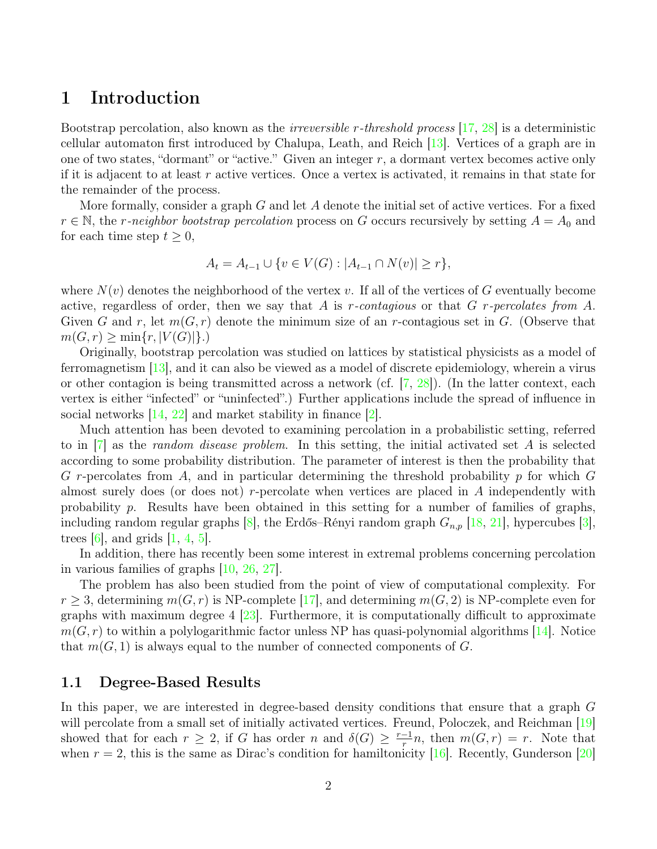### 1 Introduction

Bootstrap percolation, also known as the irreversible r-threshold process [\[17,](#page-12-0) [28\]](#page-13-0) is a deterministic cellular automaton first introduced by Chalupa, Leath, and Reich [\[13\]](#page-12-1). Vertices of a graph are in one of two states, "dormant" or "active." Given an integer  $r$ , a dormant vertex becomes active only if it is adjacent to at least r active vertices. Once a vertex is activated, it remains in that state for the remainder of the process.

More formally, consider a graph  $G$  and let  $A$  denote the initial set of active vertices. For a fixed  $r \in \mathbb{N}$ , the r-neighbor bootstrap percolation process on G occurs recursively by setting  $A = A_0$  and for each time step  $t \geq 0$ ,

$$
A_t = A_{t-1} \cup \{ v \in V(G) : |A_{t-1} \cap N(v)| \ge r \},\
$$

where  $N(v)$  denotes the neighborhood of the vertex v. If all of the vertices of G eventually become active, regardless of order, then we say that A is r-contagious or that G r-percolates from A. Given G and r, let  $m(G, r)$  denote the minimum size of an r-contagious set in G. (Observe that  $m(G, r) \ge \min\{r, |V(G)|\}.$ 

Originally, bootstrap percolation was studied on lattices by statistical physicists as a model of ferromagnetism [\[13\]](#page-12-1), and it can also be viewed as a model of discrete epidemiology, wherein a virus or other contagion is being transmitted across a network (cf.  $[7, 28]$  $[7, 28]$  $[7, 28]$ ). (In the latter context, each vertex is either "infected" or "uninfected".) Further applications include the spread of influence in social networks [\[14,](#page-12-2) [22\]](#page-12-3) and market stability in finance [\[2\]](#page-11-1).

Much attention has been devoted to examining percolation in a probabilistic setting, referred to in  $[7]$  as the *random disease problem*. In this setting, the initial activated set A is selected according to some probability distribution. The parameter of interest is then the probability that G r-percolates from A, and in particular determining the threshold probability  $p$  for which  $G$ almost surely does (or does not) r-percolate when vertices are placed in  $A$  independently with probability  $p$ . Results have been obtained in this setting for a number of families of graphs, including random regular graphs  $[8]$ , the Erdős–Rényi random graph  $G_{n,p}$  [\[18,](#page-12-5) [21\]](#page-12-6), hypercubes [\[3\]](#page-11-2), trees  $[6]$ , and grids  $[1, 4, 5]$  $[1, 4, 5]$  $[1, 4, 5]$  $[1, 4, 5]$  $[1, 4, 5]$ .

In addition, there has recently been some interest in extremal problems concerning percolation in various families of graphs [\[10,](#page-12-7) [26,](#page-13-1) [27\]](#page-13-2).

The problem has also been studied from the point of view of computational complexity. For  $r \geq 3$ , determining  $m(G, r)$  is NP-complete [\[17\]](#page-12-0), and determining  $m(G, 2)$  is NP-complete even for graphs with maximum degree  $4 \times 23$ . Furthermore, it is computationally difficult to approximate  $m(G, r)$  to within a polylogarithmic factor unless NP has quasi-polynomial algorithms [\[14\]](#page-12-2). Notice that  $m(G, 1)$  is always equal to the number of connected components of G.

### 1.1 Degree-Based Results

In this paper, we are interested in degree-based density conditions that ensure that a graph G will percolate from a small set of initially activated vertices. Freund, Poloczek, and Reichman [\[19\]](#page-12-9) showed that for each  $r \geq 2$ , if G has order n and  $\delta(G) \geq \frac{r-1}{r}$  $\frac{-1}{r}n$ , then  $m(G,r) = r$ . Note that when  $r = 2$ , this is the same as Dirac's condition for hamiltonicity [\[16\]](#page-12-10). Recently, Gunderson [\[20\]](#page-12-11)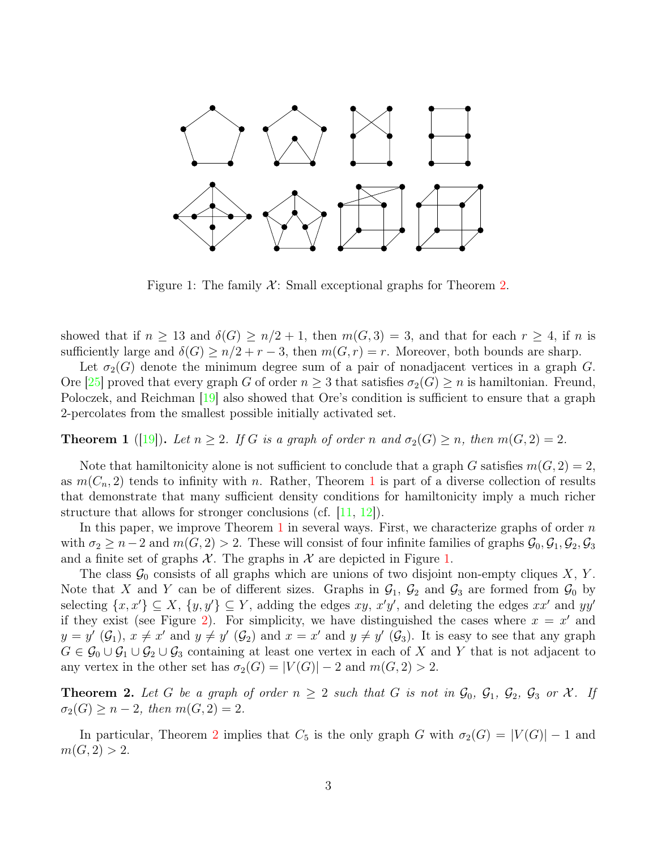

<span id="page-2-2"></span>Figure 1: The family  $\mathcal{X}$ : Small exceptional graphs for Theorem [2.](#page-2-0)

showed that if  $n \geq 13$  and  $\delta(G) \geq n/2 + 1$ , then  $m(G, 3) = 3$ , and that for each  $r \geq 4$ , if n is sufficiently large and  $\delta(G) \ge n/2 + r - 3$ , then  $m(G, r) = r$ . Moreover, both bounds are sharp.

Let  $\sigma_2(G)$  denote the minimum degree sum of a pair of nonadjacent vertices in a graph G. Ore  $|25|$  proved that every graph G of order  $n \geq 3$  that satisfies  $\sigma_2(G) \geq n$  is hamiltonian. Freund, Poloczek, and Reichman [\[19\]](#page-12-9) also showed that Ore's condition is sufficient to ensure that a graph 2-percolates from the smallest possible initially activated set.

<span id="page-2-1"></span>**Theorem 1** ([\[19\]](#page-12-9)). Let  $n \geq 2$ . If G is a graph of order n and  $\sigma_2(G) \geq n$ , then  $m(G, 2) = 2$ .

Note that hamiltonicity alone is not sufficient to conclude that a graph G satisfies  $m(G, 2) = 2$ , as  $m(C_n, 2)$  tends to infinity with n. Rather, Theorem [1](#page-2-1) is part of a diverse collection of results that demonstrate that many sufficient density conditions for hamiltonicity imply a much richer structure that allows for stronger conclusions (cf.  $[11, 12]$  $[11, 12]$  $[11, 12]$ ).

In this paper, we improve Theorem  $1$  in several ways. First, we characterize graphs of order  $n$ with  $\sigma_2 \geq n-2$  and  $m(G, 2) > 2$ . These will consist of four infinite families of graphs  $\mathcal{G}_0, \mathcal{G}_1, \mathcal{G}_2, \mathcal{G}_3$ and a finite set of graphs  $\mathcal X$ . The graphs in  $\mathcal X$  are depicted in Figure [1.](#page-2-2)

The class  $\mathcal{G}_0$  consists of all graphs which are unions of two disjoint non-empty cliques X, Y. Note that X and Y can be of different sizes. Graphs in  $\mathcal{G}_1$ ,  $\mathcal{G}_2$  and  $\mathcal{G}_3$  are formed from  $\mathcal{G}_0$  by selecting  $\{x, x'\} \subseteq X$ ,  $\{y, y'\} \subseteq Y$ , adding the edges  $xy$ ,  $x'y'$ , and deleting the edges  $xx'$  and  $yy'$ if they exist (see Figure [2\)](#page-3-0). For simplicity, we have distinguished the cases where  $x = x'$  and  $y = y'$   $(\mathcal{G}_1)$ ,  $x \neq x'$  and  $y \neq y'$   $(\mathcal{G}_2)$  and  $x = x'$  and  $y \neq y'$   $(\mathcal{G}_3)$ . It is easy to see that any graph  $G \in \mathcal{G}_0 \cup \mathcal{G}_1 \cup \mathcal{G}_2 \cup \mathcal{G}_3$  containing at least one vertex in each of X and Y that is not adjacent to any vertex in the other set has  $\sigma_2(G) = |V(G)| - 2$  and  $m(G, 2) > 2$ .

<span id="page-2-0"></span>**Theorem 2.** Let G be a graph of order  $n \geq 2$  such that G is not in  $\mathcal{G}_0$ ,  $\mathcal{G}_1$ ,  $\mathcal{G}_2$ ,  $\mathcal{G}_3$  or X. If  $\sigma_2(G) \geq n-2$ , then  $m(G, 2) = 2$ .

In particular, Theorem [2](#page-2-0) implies that  $C_5$  is the only graph G with  $\sigma_2(G) = |V(G)| - 1$  and  $m(G, 2) > 2.$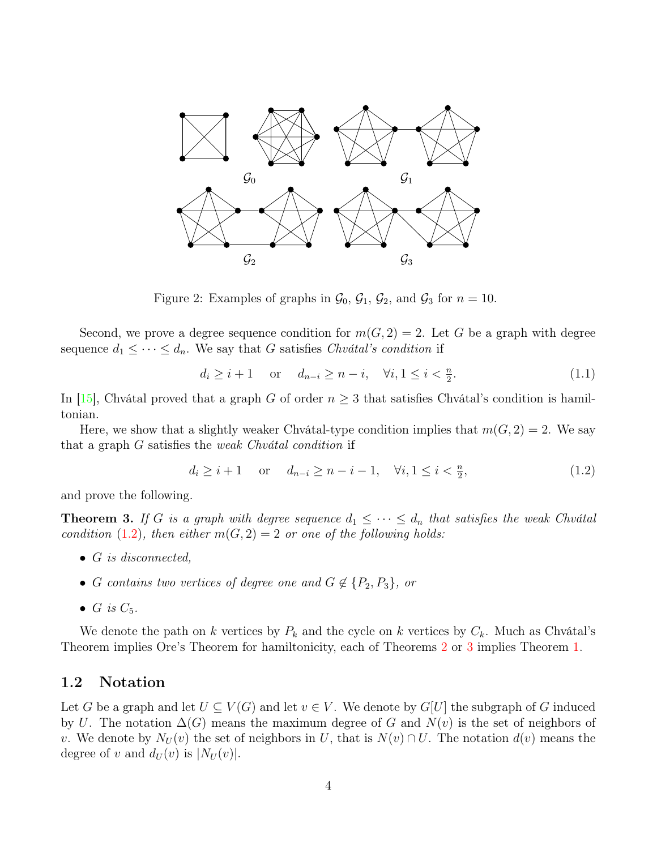

<span id="page-3-0"></span>Figure 2: Examples of graphs in  $\mathcal{G}_0$ ,  $\mathcal{G}_1$ ,  $\mathcal{G}_2$ , and  $\mathcal{G}_3$  for  $n = 10$ .

Second, we prove a degree sequence condition for  $m(G, 2) = 2$ . Let G be a graph with degree sequence  $d_1 \leq \cdots \leq d_n$ . We say that G satisfies Chvátal's condition if

<span id="page-3-3"></span><span id="page-3-1"></span>
$$
d_i \geq i+1
$$
 or  $d_{n-i} \geq n-i$ ,  $\forall i, 1 \leq i < \frac{n}{2}$ . (1.1)

In [\[15\]](#page-12-14), Chvátal proved that a graph G of order  $n \geq 3$  that satisfies Chvátal's condition is hamiltonian.

Here, we show that a slightly weaker Chvátal-type condition implies that  $m(G, 2) = 2$ . We say that a graph  $G$  satisfies the *weak Chvátal condition* if

$$
d_i \geq i+1
$$
 or  $d_{n-i} \geq n-i-1$ ,  $\forall i, 1 \leq i < \frac{n}{2}$ ,  $(1.2)$ 

and prove the following.

<span id="page-3-2"></span>**Theorem 3.** If G is a graph with degree sequence  $d_1 \leq \cdots \leq d_n$  that satisfies the weak Chvátal condition [\(1.2\)](#page-3-1), then either  $m(G, 2) = 2$  or one of the following holds:

- $G$  is disconnected,
- G contains two vertices of degree one and  $G \notin \{P_2, P_3\}$ , or
- G is  $C_5$ .

We denote the path on k vertices by  $P_k$  and the cycle on k vertices by  $C_k$ . Much as Chvátal's Theorem implies Ore's Theorem for hamiltonicity, each of Theorems [2](#page-2-0) or [3](#page-3-2) implies Theorem [1.](#page-2-1)

### 1.2 Notation

Let G be a graph and let  $U \subseteq V(G)$  and let  $v \in V$ . We denote by  $G[U]$  the subgraph of G induced by U. The notation  $\Delta(G)$  means the maximum degree of G and  $N(v)$  is the set of neighbors of v. We denote by  $N_U(v)$  the set of neighbors in U, that is  $N(v) \cap U$ . The notation  $d(v)$  means the degree of v and  $d_U(v)$  is  $|N_U(v)|$ .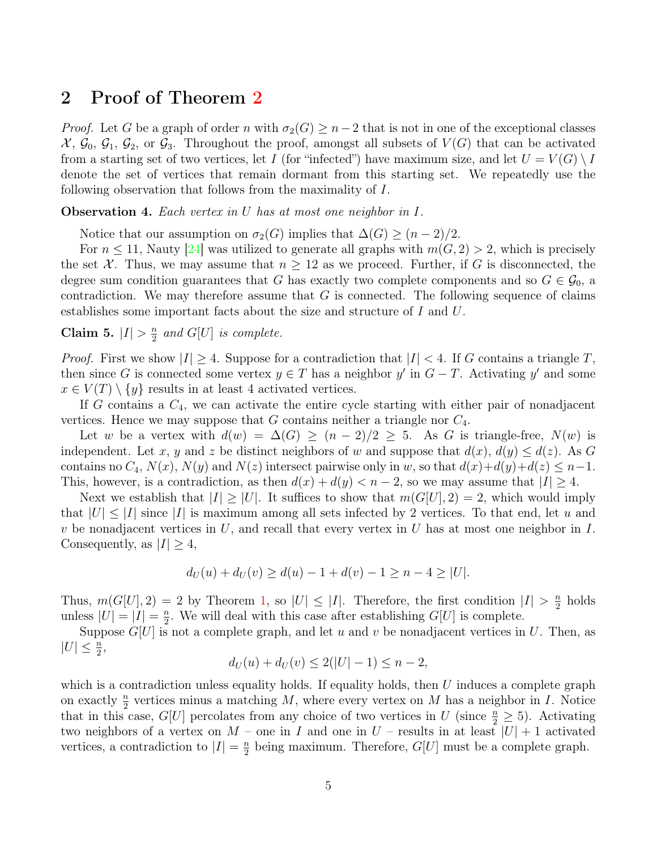### 2 Proof of Theorem [2](#page-2-0)

*Proof.* Let G be a graph of order n with  $\sigma_2(G) \geq n-2$  that is not in one of the exceptional classes  $\mathcal{X}, \mathcal{G}_0, \mathcal{G}_1, \mathcal{G}_2, \text{ or } \mathcal{G}_3$ . Throughout the proof, amongst all subsets of  $V(G)$  that can be activated from a starting set of two vertices, let I (for "infected") have maximum size, and let  $U = V(G) \setminus I$ denote the set of vertices that remain dormant from this starting set. We repeatedly use the following observation that follows from the maximality of I.

<span id="page-4-1"></span>**Observation 4.** Each vertex in U has at most one neighbor in  $I$ .

Notice that our assumption on  $\sigma_2(G)$  implies that  $\Delta(G) \geq (n-2)/2$ .

For  $n \leq 11$ , Nauty [\[24\]](#page-12-15) was utilized to generate all graphs with  $m(G, 2) > 2$ , which is precisely the set X. Thus, we may assume that  $n \geq 12$  as we proceed. Further, if G is disconnected, the degree sum condition guarantees that G has exactly two complete components and so  $G \in \mathcal{G}_0$ , a contradiction. We may therefore assume that  $G$  is connected. The following sequence of claims establishes some important facts about the size and structure of I and U.

<span id="page-4-0"></span>Claim 5.  $|I| > \frac{n}{2}$  $\frac{n}{2}$  and  $G[U]$  is complete.

*Proof.* First we show  $|I| \geq 4$ . Suppose for a contradiction that  $|I| < 4$ . If G contains a triangle T, then since G is connected some vertex  $y \in T$  has a neighbor  $y'$  in  $G - T$ . Activating  $y'$  and some  $x \in V(T) \setminus \{y\}$  results in at least 4 activated vertices.

If G contains a  $C_4$ , we can activate the entire cycle starting with either pair of nonadjacent vertices. Hence we may suppose that G contains neither a triangle nor  $C_4$ .

Let w be a vertex with  $d(w) = \Delta(G) \ge (n-2)/2 \ge 5$ . As G is triangle-free,  $N(w)$  is independent. Let x, y and z be distinct neighbors of w and suppose that  $d(x)$ ,  $d(y) \leq d(z)$ . As G contains no  $C_4$ ,  $N(x)$ ,  $N(y)$  and  $N(z)$  intersect pairwise only in w, so that  $d(x)+d(y)+d(z) \leq n-1$ . This, however, is a contradiction, as then  $d(x) + d(y) < n - 2$ , so we may assume that  $|I| \geq 4$ .

Next we establish that  $|I| \geq |U|$ . It suffices to show that  $m(G|U|, 2) = 2$ , which would imply that  $|U| \leq |I|$  since II is maximum among all sets infected by 2 vertices. To that end, let u and v be nonadjacent vertices in U, and recall that every vertex in U has at most one neighbor in  $I$ . Consequently, as  $|I| \geq 4$ ,

$$
d_U(u) + d_U(v) \ge d(u) - 1 + d(v) - 1 \ge n - 4 \ge |U|.
$$

Thus,  $m(G[U], 2) = 2$  by Theorem [1,](#page-2-1) so  $|U| \leq |I|$ . Therefore, the first condition  $|I| > \frac{n}{2}$  $\frac{n}{2}$  holds unless  $|U| = |I| = \frac{n}{2}$  $\frac{n}{2}$ . We will deal with this case after establishing  $G[U]$  is complete.

Suppose  $G[U]$  is not a complete graph, and let u and v be nonadjacent vertices in U. Then, as  $|U| \leq \frac{n}{2},$ 

$$
d_U(u) + d_U(v) \le 2(|U| - 1) \le n - 2,
$$

which is a contradiction unless equality holds. If equality holds, then  $U$  induces a complete graph on exactly  $\frac{n}{2}$  vertices minus a matching M, where every vertex on M has a neighbor in I. Notice that in this case,  $G[U]$  percolates from any choice of two vertices in U (since  $\frac{n}{2} \geq 5$ ). Activating two neighbors of a vertex on  $M$  – one in I and one in  $U$  – results in at least  $|U|+1$  activated vertices, a contradiction to  $|I| = \frac{n}{2}$  $\frac{n}{2}$  being maximum. Therefore,  $G[U]$  must be a complete graph.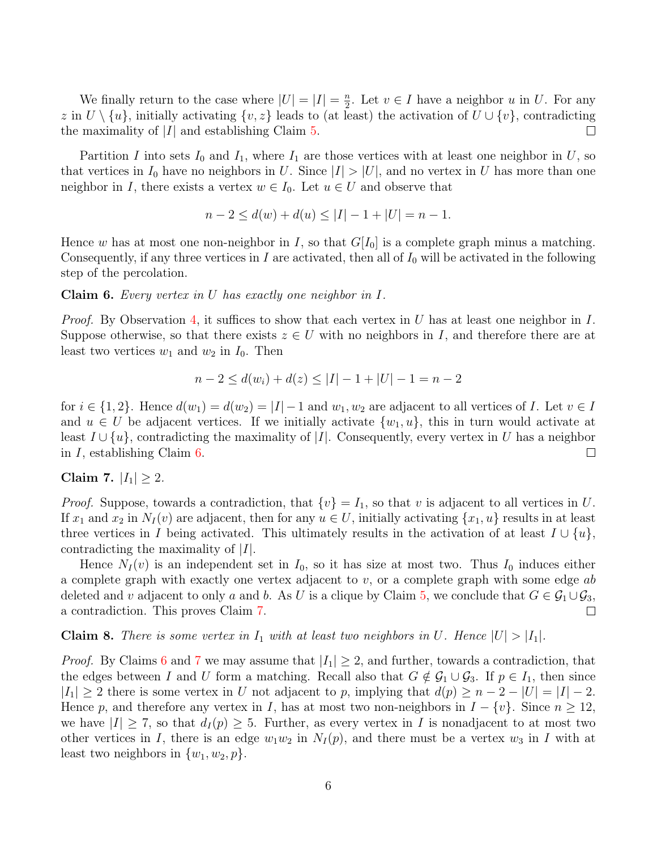We finally return to the case where  $|U| = |I| = \frac{n}{2}$  $\frac{n}{2}$ . Let  $v \in I$  have a neighbor u in U. For any z in  $U \setminus \{u\}$ , initially activating  $\{v, z\}$  leads to (at least) the activation of  $U \cup \{v\}$ , contradicting the maximality of  $|I|$  and establishing Claim [5.](#page-4-0)  $\Box$ 

Partition I into sets  $I_0$  and  $I_1$ , where  $I_1$  are those vertices with at least one neighbor in U, so that vertices in  $I_0$  have no neighbors in U. Since  $|I| > |U|$ , and no vertex in U has more than one neighbor in I, there exists a vertex  $w \in I_0$ . Let  $u \in U$  and observe that

$$
n - 2 \le d(w) + d(u) \le |I| - 1 + |U| = n - 1.
$$

Hence w has at most one non-neighbor in I, so that  $G[I_0]$  is a complete graph minus a matching. Consequently, if any three vertices in I are activated, then all of  $I_0$  will be activated in the following step of the percolation.

<span id="page-5-0"></span>**Claim 6.** Every vertex in U has exactly one neighbor in  $I$ .

*Proof.* By Observation [4,](#page-4-1) it suffices to show that each vertex in U has at least one neighbor in I. Suppose otherwise, so that there exists  $z \in U$  with no neighbors in I, and therefore there are at least two vertices  $w_1$  and  $w_2$  in  $I_0$ . Then

$$
n - 2 \le d(w_i) + d(z) \le |I| - 1 + |U| - 1 = n - 2
$$

for  $i \in \{1,2\}$ . Hence  $d(w_1) = d(w_2) = |I| - 1$  and  $w_1, w_2$  are adjacent to all vertices of I. Let  $v \in I$ and  $u \in U$  be adjacent vertices. If we initially activate  $\{w_1, u\}$ , this in turn would activate at least  $I \cup \{u\}$ , contradicting the maximality of |I|. Consequently, every vertex in U has a neighbor in I, establishing Claim [6.](#page-5-0)  $\Box$ 

#### <span id="page-5-1"></span>Claim 7.  $|I_1| \geq 2$ .

*Proof.* Suppose, towards a contradiction, that  $\{v\} = I_1$ , so that v is adjacent to all vertices in U. If  $x_1$  and  $x_2$  in  $N_I(v)$  are adjacent, then for any  $u \in U$ , initially activating  $\{x_1, u\}$  results in at least three vertices in I being activated. This ultimately results in the activation of at least  $I \cup \{u\}$ , contradicting the maximality of  $|I|$ .

Hence  $N_I(v)$  is an independent set in  $I_0$ , so it has size at most two. Thus  $I_0$  induces either a complete graph with exactly one vertex adjacent to  $v$ , or a complete graph with some edge ab deleted and v adjacent to only a and b. As U is a clique by Claim [5,](#page-4-0) we conclude that  $G \in \mathcal{G}_1 \cup \mathcal{G}_3$ , a contradiction. This proves Claim [7.](#page-5-1)  $\Box$ 

#### <span id="page-5-2"></span>**Claim 8.** There is some vertex in  $I_1$  with at least two neighbors in U. Hence  $|U| > |I_1|$ .

*Proof.* By Claims [6](#page-5-0) and [7](#page-5-1) we may assume that  $|I_1| \geq 2$ , and further, towards a contradiction, that the edges between I and U form a matching. Recall also that  $G \notin \mathcal{G}_1 \cup \mathcal{G}_3$ . If  $p \in I_1$ , then since  $|I_1| \geq 2$  there is some vertex in U not adjacent to p, implying that  $d(p) \geq n-2-|U| = |I|-2$ . Hence p, and therefore any vertex in I, has at most two non-neighbors in  $I - \{v\}$ . Since  $n \ge 12$ , we have  $|I| \geq 7$ , so that  $d_I(p) \geq 5$ . Further, as every vertex in I is nonadjacent to at most two other vertices in I, there is an edge  $w_1w_2$  in  $N_I(p)$ , and there must be a vertex  $w_3$  in I with at least two neighbors in  $\{w_1, w_2, p\}.$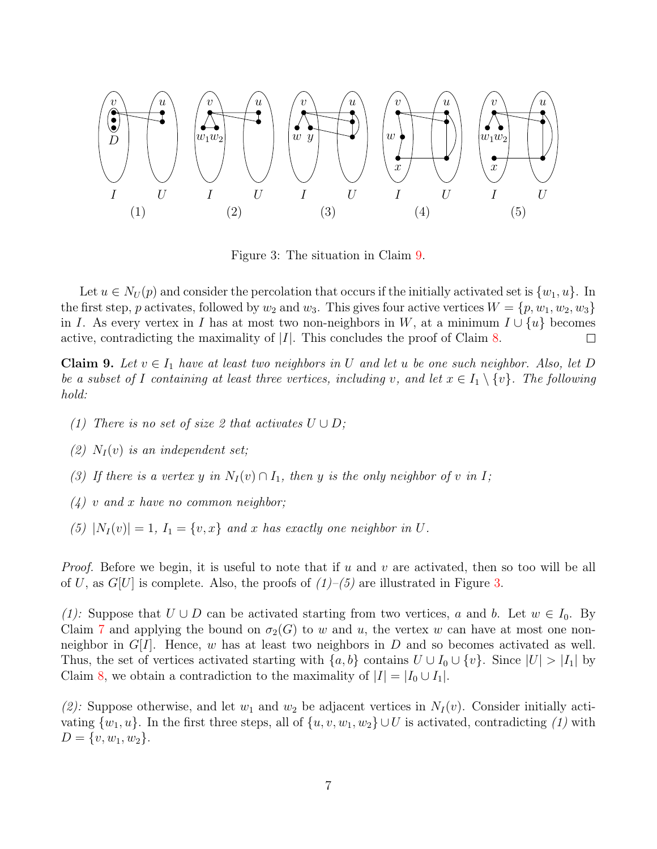

<span id="page-6-1"></span>Figure 3: The situation in Claim [9.](#page-6-0)

Let  $u \in N_U(p)$  and consider the percolation that occurs if the initially activated set is  $\{w_1, u\}$ . In the first step, p activates, followed by  $w_2$  and  $w_3$ . This gives four active vertices  $W = \{p, w_1, w_2, w_3\}$ in I. As every vertex in I has at most two non-neighbors in W, at a minimum  $I \cup \{u\}$  becomes active, contradicting the maximality of  $|I|$ . This concludes the proof of Claim [8.](#page-5-2)  $\Box$ 

<span id="page-6-0"></span>**Claim 9.** Let  $v \in I_1$  have at least two neighbors in U and let u be one such neighbor. Also, let D be a subset of I containing at least three vertices, including v, and let  $x \in I_1 \setminus \{v\}$ . The following hold:

- (1) There is no set of size 2 that activates  $U \cup D$ ;
- (2)  $N_I(v)$  is an independent set;
- (3) If there is a vertex y in  $N_I(v) \cap I_1$ , then y is the only neighbor of v in I;
- $(4)$  v and x have no common neighbor;
- (5)  $|N_I(v)| = 1$ ,  $I_1 = \{v, x\}$  and x has exactly one neighbor in U.

*Proof.* Before we begin, it is useful to note that if u and v are activated, then so too will be all of U, as  $G[U]$  is complete. Also, the proofs of  $(1)$ – $(5)$  are illustrated in Figure [3.](#page-6-1)

(1): Suppose that  $U \cup D$  can be activated starting from two vertices, a and b. Let  $w \in I_0$ . By Claim [7](#page-5-1) and applying the bound on  $\sigma_2(G)$  to w and u, the vertex w can have at most one nonneighbor in  $G[I]$ . Hence, w has at least two neighbors in D and so becomes activated as well. Thus, the set of vertices activated starting with  $\{a, b\}$  contains  $U \cup I_0 \cup \{v\}$ . Since  $|U| > |I_1|$  by Claim [8,](#page-5-2) we obtain a contradiction to the maximality of  $|I| = |I_0 \cup I_1|$ .

(2): Suppose otherwise, and let  $w_1$  and  $w_2$  be adjacent vertices in  $N_I(v)$ . Consider initially activating  $\{w_1, u\}$ . In the first three steps, all of  $\{u, v, w_1, w_2\} \cup U$  is activated, contradicting (1) with  $D = \{v, w_1, w_2\}.$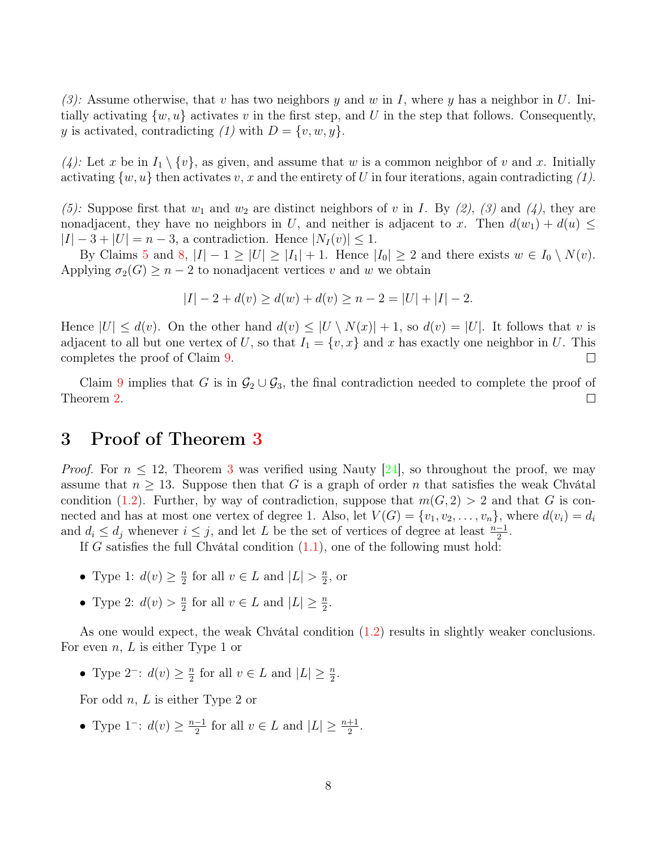(3): Assume otherwise, that v has two neighbors y and w in I, where y has a neighbor in U. Initially activating  $\{w, u\}$  activates v in the first step, and U in the step that follows. Consequently, y is activated, contradicting (1) with  $D = \{v, w, y\}.$ 

(4): Let x be in  $I_1 \setminus \{v\}$ , as given, and assume that w is a common neighbor of v and x. Initially activating  $\{w, u\}$  then activates v, x and the entirety of U in four iterations, again contradicting (1).

(5): Suppose first that  $w_1$  and  $w_2$  are distinct neighbors of v in I. By (2), (3) and (4), they are nonadjacent, they have no neighbors in U, and neither is adjacent to x. Then  $d(w_1) + d(u) \leq$  $|I| - 3 + |U| = n - 3$ , a contradiction. Hence  $|N_I(v)| \leq 1$ .

By Claims [5](#page-4-0) and [8,](#page-5-2)  $|I| - 1 \geq |U| \geq |I_1| + 1$ . Hence  $|I_0| \geq 2$  and there exists  $w \in I_0 \setminus N(v)$ . Applying  $\sigma_2(G) \geq n-2$  to nonadjacent vertices v and w we obtain

$$
|I| - 2 + d(v) \ge d(w) + d(v) \ge n - 2 = |U| + |I| - 2.
$$

Hence  $|U| \leq d(v)$ . On the other hand  $d(v) \leq |U \setminus N(x)| + 1$ , so  $d(v) = |U|$ . It follows that v is adjacent to all but one vertex of U, so that  $I_1 = \{v, x\}$  and x has exactly one neighbor in U. This completes the proof of Claim [9.](#page-6-0)  $\Box$ 

Claim [9](#page-6-0) implies that G is in  $\mathcal{G}_2 \cup \mathcal{G}_3$ , the final contradiction needed to complete the proof of Theorem [2.](#page-2-0)  $\Box$ 

### 3 Proof of Theorem [3](#page-3-2)

*Proof.* For  $n \leq 12$ , Theorem [3](#page-3-2) was verified using Nauty [\[24\]](#page-12-15), so throughout the proof, we may assume that  $n \geq 13$ . Suppose then that G is a graph of order n that satisfies the weak Chvátal condition [\(1.2\)](#page-3-1). Further, by way of contradiction, suppose that  $m(G, 2) > 2$  and that G is connected and has at most one vertex of degree 1. Also, let  $V(G) = \{v_1, v_2, \ldots, v_n\}$ , where  $d(v_i) = d_i$ and  $d_i \leq d_j$  whenever  $i \leq j$ , and let L be the set of vertices of degree at least  $\frac{n-1}{2}$ .

If G satisfies the full Chvátal condition  $(1.1)$ , one of the following must hold:

- Type 1:  $d(v) \geq \frac{n}{2}$  $\frac{n}{2}$  for all  $v \in L$  and  $|L| > \frac{n}{2}$  $\frac{n}{2}$ , or
- Type 2:  $d(v) > \frac{n}{2}$  $\frac{n}{2}$  for all  $v \in L$  and  $|L| \geq \frac{n}{2}$ .

As one would expect, the weak Chvátal condition  $(1.2)$  results in slightly weaker conclusions. For even  $n, L$  is either Type 1 or

• Type 2<sup>-</sup>:  $d(v) \geq \frac{n}{2}$  $\frac{n}{2}$  for all  $v \in L$  and  $|L| \geq \frac{n}{2}$ .

For odd  $n, L$  is either Type 2 or

• Type 1<sup>-</sup>:  $d(v) \geq \frac{n-1}{2}$  $\frac{-1}{2}$  for all  $v \in L$  and  $|L| \geq \frac{n+1}{2}$ .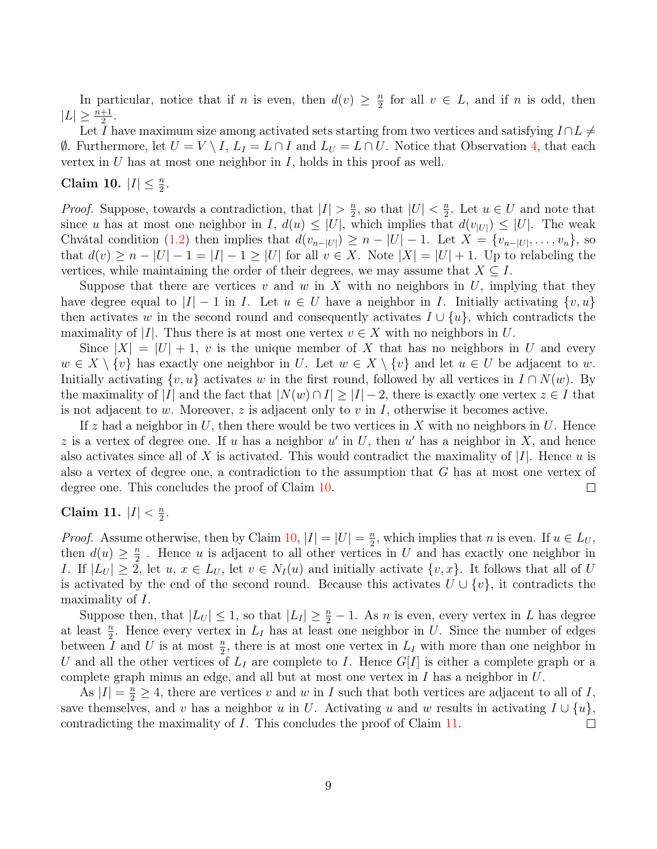In particular, notice that if *n* is even, then  $d(v) \geq \frac{n}{2}$  $\frac{n}{2}$  for all  $v \in L$ , and if *n* is odd, then  $|L| \geq \frac{n+1}{2}.$ 

Let I have maximum size among activated sets starting from two vertices and satisfying  $I \cap L \neq$  $\emptyset$ . Furthermore, let  $U = V \setminus I$ ,  $L_I = L \cap I$  and  $L_U = L \cap U$ . Notice that Observation [4,](#page-4-1) that each vertex in  $U$  has at most one neighbor in  $I$ , holds in this proof as well.

## <span id="page-8-0"></span>Claim 10.  $|I| \leq \frac{n}{2}$ .

*Proof.* Suppose, towards a contradiction, that  $|I| > \frac{n}{2}$  $\frac{n}{2}$ , so that  $|U| < \frac{n}{2}$  $\frac{n}{2}$ . Let  $u \in U$  and note that since u has at most one neighbor in I,  $d(u) \leq |U|$ , which implies that  $d(v_{|U|}) \leq |U|$ . The weak Chvátal condition [\(1.2\)](#page-3-1) then implies that  $d(v_{n-|U|}) \geq n - |U| - 1$ . Let  $X = \{v_{n-|U|}, \ldots, v_n\}$ , so that  $d(v) \geq n - |U| - 1 = |I| - 1 \geq |U|$  for all  $v \in X$ . Note  $|X| = |U| + 1$ . Up to relabeling the vertices, while maintaining the order of their degrees, we may assume that  $X \subseteq I$ .

Suppose that there are vertices v and w in X with no neighbors in U, implying that they have degree equal to  $|I| - 1$  in I. Let  $u \in U$  have a neighbor in I. Initially activating  $\{v, u\}$ then activates w in the second round and consequently activates  $I \cup \{u\}$ , which contradicts the maximality of |I|. Thus there is at most one vertex  $v \in X$  with no neighbors in U.

Since  $|X| = |U| + 1$ , v is the unique member of X that has no neighbors in U and every  $w \in X \setminus \{v\}$  has exactly one neighbor in U. Let  $w \in X \setminus \{v\}$  and let  $u \in U$  be adjacent to w. Initially activating  $\{v, u\}$  activates w in the first round, followed by all vertices in  $I \cap N(w)$ . By the maximality of |I| and the fact that  $|N(w) \cap I| \geq |I| - 2$ , there is exactly one vertex  $z \in I$  that is not adjacent to w. Moreover, z is adjacent only to v in I, otherwise it becomes active.

If z had a neighbor in U, then there would be two vertices in X with no neighbors in U. Hence z is a vertex of degree one. If u has a neighbor  $u'$  in U, then u' has a neighbor in X, and hence also activates since all of X is activated. This would contradict the maximality of  $|I|$ . Hence u is also a vertex of degree one, a contradiction to the assumption that G has at most one vertex of degree one. This concludes the proof of Claim [10.](#page-8-0)  $\Box$ 

#### <span id="page-8-1"></span>Claim 11.  $|I| < \frac{n}{2}$  $\frac{n}{2}$ .

*Proof.* Assume otherwise, then by Claim [10,](#page-8-0)  $|I| = |U| = \frac{n}{2}$  $\frac{n}{2}$ , which implies that *n* is even. If  $u \in L_U$ , then  $d(u) \geq \frac{n}{2}$  $\frac{n}{2}$ . Hence *u* is adjacent to all other vertices in *U* and has exactly one neighbor in I. If  $|L_U| \geq 2$ , let  $u, x \in L_U$ , let  $v \in N_I(u)$  and initially activate  $\{v, x\}$ . It follows that all of U is activated by the end of the second round. Because this activates  $U \cup \{v\}$ , it contradicts the maximality of I.

Suppose then, that  $|L_U| \leq 1$ , so that  $|L_I| \geq \frac{n}{2} - 1$ . As *n* is even, every vertex in *L* has degree at least  $\frac{n}{2}$ . Hence every vertex in  $L_I$  has at least one neighbor in U. Since the number of edges between  $\overline{I}$  and  $\overline{U}$  is at most  $\frac{n}{2}$ , there is at most one vertex in  $L_I$  with more than one neighbor in U and all the other vertices of  $L_I$  are complete to I. Hence  $G[I]$  is either a complete graph or a complete graph minus an edge, and all but at most one vertex in I has a neighbor in U.

As  $|I| = \frac{n}{2} \ge 4$ , there are vertices v and w in I such that both vertices are adjacent to all of I, save themselves, and v has a neighbor u in U. Activating u and w results in activating  $I \cup \{u\}$ , contradicting the maximality of I. This concludes the proof of Claim [11.](#page-8-1)  $\Box$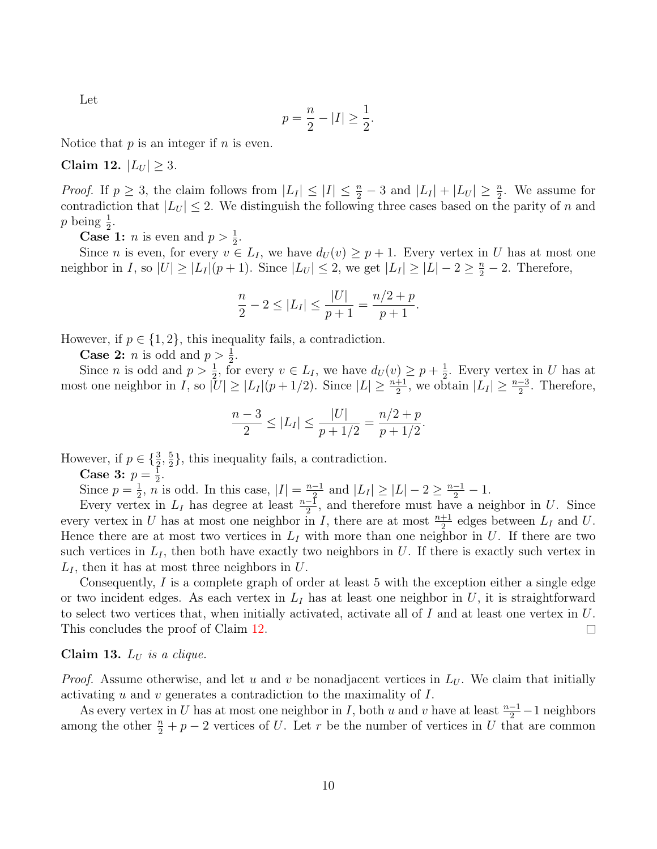Let

$$
p = \frac{n}{2} - |I| \ge \frac{1}{2}.
$$

Notice that  $p$  is an integer if  $n$  is even.

<span id="page-9-0"></span>Claim 12.  $|L_U| \geq 3$ .

*Proof.* If  $p \geq 3$ , the claim follows from  $|L_I| \leq |I| \leq \frac{n}{2} - 3$  and  $|L_I| + |L_U| \geq \frac{n}{2}$ . We assume for contradiction that  $|L_U| \leq 2$ . We distinguish the following three cases based on the parity of n and p being  $\frac{1}{2}$ .

**Case 1:** *n* is even and  $p > \frac{1}{2}$ .

Since *n* is even, for every  $v \in L_I$ , we have  $d_U(v) \geq p+1$ . Every vertex in U has at most one neighbor in I, so  $|U| \ge |L_I|(p+1)$ . Since  $|L_U| \le 2$ , we get  $|L_I| \ge |L|-2 \ge \frac{n}{2}-2$ . Therefore,

$$
\frac{n}{2} - 2 \le |L_I| \le \frac{|U|}{p+1} = \frac{n/2 + p}{p+1}.
$$

However, if  $p \in \{1, 2\}$ , this inequality fails, a contradiction.

**Case 2:** *n* is odd and  $p > \frac{1}{2}$ .

Since *n* is odd and  $p > \frac{1}{2}$ , for every  $v \in L_I$ , we have  $d_U(v) \geq p + \frac{1}{2}$  $\frac{1}{2}$ . Every vertex in U has at most one neighbor in I, so  $|U| \ge |L_I|(p+1/2)$ . Since  $|L| \ge \frac{n+1}{2}$ , we obtain  $|L_I| \ge \frac{n-3}{2}$ . Therefore,

$$
\frac{n-3}{2} \le |L_I| \le \frac{|U|}{p+1/2} = \frac{n/2+p}{p+1/2}.
$$

However, if  $p \in \{\frac{3}{2}, \frac{5}{2}\}$  $\frac{5}{2}$ , this inequality fails, a contradiction.

**Case 3:**  $p = \frac{1}{2}$ .

Since  $p = \frac{1}{2}$ ,  $n^2$  $\frac{1}{2}$ ,  $n$  is odd. In this case,  $|I| = \frac{n-1}{2}$  $\frac{-1}{2}$  and  $|L_I| \geq |L| - 2 \geq \frac{n-1}{2} - 1$ .

Every vertex in  $L_I$  has degree at least  $\frac{n-1}{2}$ , and therefore must have a neighbor in U. Since every vertex in U has at most one neighbor in I, there are at most  $\frac{n+1}{2}$  edges between  $L_I$  and U. Hence there are at most two vertices in  $L_I$  with more than one neighbor in U. If there are two such vertices in  $L<sub>I</sub>$ , then both have exactly two neighbors in U. If there is exactly such vertex in  $L_I$ , then it has at most three neighbors in U.

Consequently, I is a complete graph of order at least 5 with the exception either a single edge or two incident edges. As each vertex in  $L_I$  has at least one neighbor in U, it is straightforward to select two vertices that, when initially activated, activate all of  $I$  and at least one vertex in  $U$ . This concludes the proof of Claim [12.](#page-9-0)  $\Box$ 

#### <span id="page-9-1"></span>Claim 13.  $L_U$  is a clique.

*Proof.* Assume otherwise, and let u and v be nonadjacent vertices in  $L_U$ . We claim that initially activating u and v generates a contradiction to the maximality of I.

As every vertex in U has at most one neighbor in I, both u and v have at least  $\frac{n-1}{2} - 1$  neighbors among the other  $\frac{n}{2} + p - 2$  vertices of U. Let r be the number of vertices in U that are common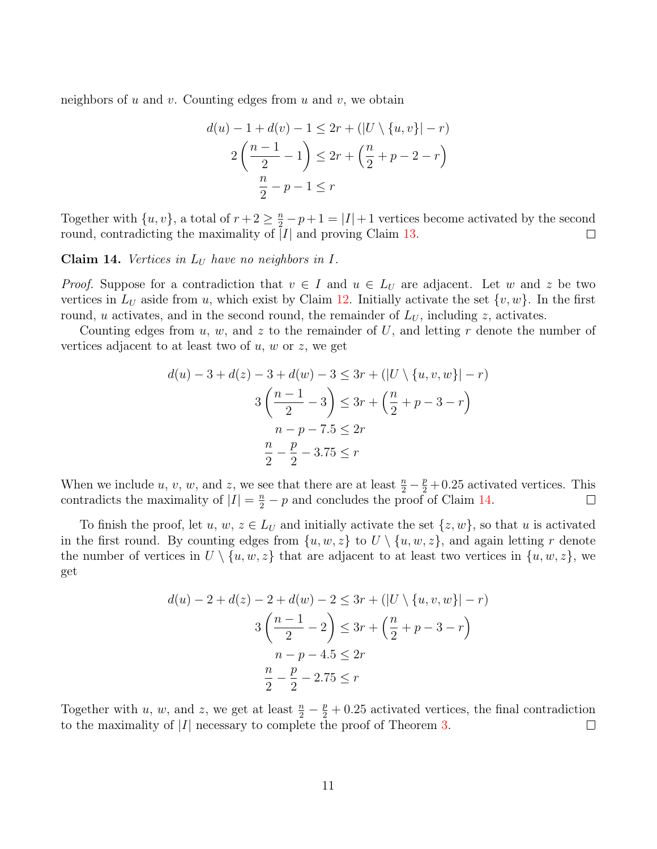neighbors of  $u$  and  $v$ . Counting edges from  $u$  and  $v$ , we obtain

$$
d(u) - 1 + d(v) - 1 \le 2r + (|U \setminus \{u, v\}| - r)
$$
  
 
$$
2\left(\frac{n-1}{2} - 1\right) \le 2r + \left(\frac{n}{2} + p - 2 - r\right)
$$
  
\n
$$
\frac{n}{2} - p - 1 \le r
$$

Together with  $\{u, v\}$ , a total of  $r + 2 \geq \frac{n}{2} - p + 1 = |I| + 1$  vertices become activated by the second round, contradicting the maximality of  $\overline{I}I$  and proving Claim [13.](#page-9-1)  $\Box$ 

<span id="page-10-0"></span>Claim 14. Vertices in  $L_U$  have no neighbors in  $I$ .

*Proof.* Suppose for a contradiction that  $v \in I$  and  $u \in L_U$  are adjacent. Let w and z be two vertices in  $L_U$  aside from u, which exist by Claim [12.](#page-9-0) Initially activate the set  $\{v, w\}$ . In the first round, u activates, and in the second round, the remainder of  $L_U$ , including z, activates.

Counting edges from  $u, w$ , and  $z$  to the remainder of  $U$ , and letting r denote the number of vertices adjacent to at least two of  $u, w$  or  $z$ , we get

$$
d(u) - 3 + d(z) - 3 + d(w) - 3 \le 3r + (|U \setminus \{u, v, w\}| - r)
$$
  

$$
3\left(\frac{n-1}{2} - 3\right) \le 3r + \left(\frac{n}{2} + p - 3 - r\right)
$$
  

$$
n - p - 7.5 \le 2r
$$
  

$$
\frac{n}{2} - \frac{p}{2} - 3.75 \le r
$$

When we include u, v, w, and z, we see that there are at least  $\frac{n}{2} - \frac{p}{2} + 0.25$  activated vertices. This contradicts the maximality of  $|I| = \frac{n}{2} - p$  and concludes the proof of Claim [14.](#page-10-0)

To finish the proof, let u,  $w, z \in L_U$  and initially activate the set  $\{z, w\}$ , so that u is activated in the first round. By counting edges from  $\{u, w, z\}$  to  $U \setminus \{u, w, z\}$ , and again letting r denote the number of vertices in  $U \setminus \{u, w, z\}$  that are adjacent to at least two vertices in  $\{u, w, z\}$ , we get

$$
d(u) - 2 + d(z) - 2 + d(w) - 2 \le 3r + (|U \setminus \{u, v, w\}| - r)
$$
  

$$
3\left(\frac{n-1}{2} - 2\right) \le 3r + \left(\frac{n}{2} + p - 3 - r\right)
$$
  

$$
n - p - 4.5 \le 2r
$$
  

$$
\frac{n}{2} - \frac{p}{2} - 2.75 \le r
$$

Together with u, w, and z, we get at least  $\frac{n}{2} - \frac{p}{2} + 0.25$  activated vertices, the final contradiction to the maximality of  $|I|$  necessary to complete the proof of Theorem [3.](#page-3-2)  $\Box$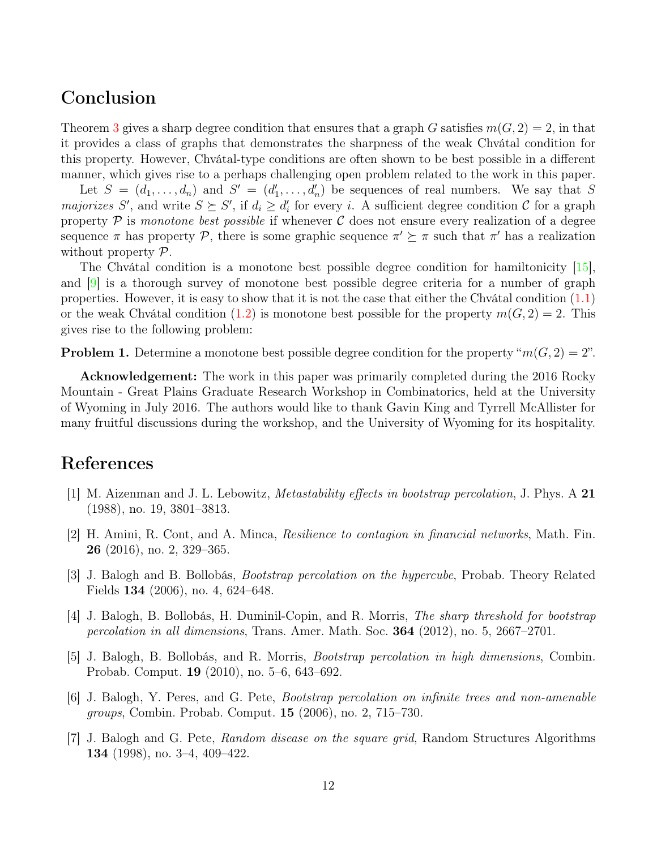### Conclusion

Theorem [3](#page-3-2) gives a sharp degree condition that ensures that a graph G satisfies  $m(G, 2) = 2$ , in that it provides a class of graphs that demonstrates the sharpness of the weak Chvátal condition for this property. However, Chvátal-type conditions are often shown to be best possible in a different manner, which gives rise to a perhaps challenging open problem related to the work in this paper.

Let  $S = (d_1, \ldots, d_n)$  and  $S' = (d'_1, \ldots, d'_n)$  be sequences of real numbers. We say that S *majorizes* S', and write  $S \succeq S'$ , if  $d_i \geq d'_i$  for every i. A sufficient degree condition C for a graph property  $P$  is monotone best possible if whenever C does not ensure every realization of a degree sequence  $\pi$  has property  $\mathcal{P}$ , there is some graphic sequence  $\pi' \succeq \pi$  such that  $\pi'$  has a realization without property  $\mathcal{P}$ .

The Chvátal condition is a monotone best possible degree condition for hamiltonicity [\[15\]](#page-12-14), and  $\boxed{9}$  is a thorough survey of monotone best possible degree criteria for a number of graph properties. However, it is easy to show that it is not the case that either the Chvátal condition [\(1.1\)](#page-3-3) or the weak Chvátal condition [\(1.2\)](#page-3-1) is monotone best possible for the property  $m(G, 2) = 2$ . This gives rise to the following problem:

**Problem 1.** Determine a monotone best possible degree condition for the property " $m(G, 2) = 2$ ".

Acknowledgement: The work in this paper was primarily completed during the 2016 Rocky Mountain - Great Plains Graduate Research Workshop in Combinatorics, held at the University of Wyoming in July 2016. The authors would like to thank Gavin King and Tyrrell McAllister for many fruitful discussions during the workshop, and the University of Wyoming for its hospitality.

## References

- <span id="page-11-4"></span>[1] M. Aizenman and J. L. Lebowitz, Metastability effects in bootstrap percolation, J. Phys. A 21 (1988), no. 19, 3801–3813.
- <span id="page-11-1"></span>[2] H. Amini, R. Cont, and A. Minca, Resilience to contagion in financial networks, Math. Fin. 26 (2016), no. 2, 329–365.
- <span id="page-11-2"></span>[3] J. Balogh and B. Bollobás, Bootstrap percolation on the hypercube, Probab. Theory Related Fields 134 (2006), no. 4, 624–648.
- <span id="page-11-5"></span>[4] J. Balogh, B. Bollobás, H. Duminil-Copin, and R. Morris, The sharp threshold for bootstrap percolation in all dimensions, Trans. Amer. Math. Soc. 364 (2012), no. 5, 2667–2701.
- <span id="page-11-6"></span>[5] J. Balogh, B. Bollobás, and R. Morris, Bootstrap percolation in high dimensions, Combin. Probab. Comput. 19 (2010), no. 5–6, 643–692.
- <span id="page-11-3"></span>[6] J. Balogh, Y. Peres, and G. Pete, Bootstrap percolation on infinite trees and non-amenable groups, Combin. Probab. Comput. 15 (2006), no. 2, 715–730.
- <span id="page-11-0"></span>[7] J. Balogh and G. Pete, Random disease on the square grid, Random Structures Algorithms 134 (1998), no. 3–4, 409–422.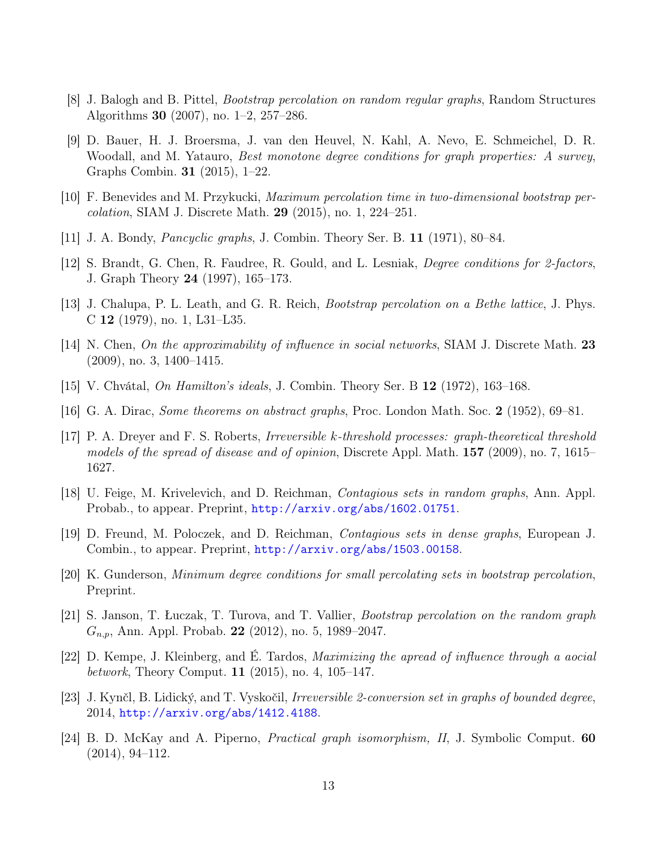- <span id="page-12-4"></span>[8] J. Balogh and B. Pittel, Bootstrap percolation on random regular graphs, Random Structures Algorithms 30 (2007), no. 1–2, 257–286.
- <span id="page-12-16"></span>[9] D. Bauer, H. J. Broersma, J. van den Heuvel, N. Kahl, A. Nevo, E. Schmeichel, D. R. Woodall, and M. Yatauro, Best monotone degree conditions for graph properties: A survey, Graphs Combin. 31 (2015), 1–22.
- <span id="page-12-7"></span>[10] F. Benevides and M. Przykucki, Maximum percolation time in two-dimensional bootstrap percolation, SIAM J. Discrete Math. 29 (2015), no. 1, 224–251.
- <span id="page-12-12"></span>[11] J. A. Bondy, Pancyclic graphs, J. Combin. Theory Ser. B. 11 (1971), 80–84.
- <span id="page-12-13"></span>[12] S. Brandt, G. Chen, R. Faudree, R. Gould, and L. Lesniak, Degree conditions for 2-factors, J. Graph Theory 24 (1997), 165–173.
- <span id="page-12-1"></span>[13] J. Chalupa, P. L. Leath, and G. R. Reich, Bootstrap percolation on a Bethe lattice, J. Phys. C 12 (1979), no. 1, L31–L35.
- <span id="page-12-2"></span>[14] N. Chen, On the approximability of influence in social networks, SIAM J. Discrete Math. 23 (2009), no. 3, 1400–1415.
- <span id="page-12-14"></span>[15] V. Chvátal, On Hamilton's ideals, J. Combin. Theory Ser. B 12 (1972), 163–168.
- <span id="page-12-10"></span>[16] G. A. Dirac, Some theorems on abstract graphs, Proc. London Math. Soc. 2 (1952), 69–81.
- <span id="page-12-0"></span>[17] P. A. Dreyer and F. S. Roberts, Irreversible k-threshold processes: graph-theoretical threshold models of the spread of disease and of opinion, Discrete Appl. Math. 157 (2009), no. 7, 1615– 1627.
- <span id="page-12-5"></span>[18] U. Feige, M. Krivelevich, and D. Reichman, Contagious sets in random graphs, Ann. Appl. Probab., to appear. Preprint, <http://arxiv.org/abs/1602.01751>.
- <span id="page-12-9"></span>[19] D. Freund, M. Poloczek, and D. Reichman, Contagious sets in dense graphs, European J. Combin., to appear. Preprint, <http://arxiv.org/abs/1503.00158>.
- <span id="page-12-11"></span>[20] K. Gunderson, Minimum degree conditions for small percolating sets in bootstrap percolation, Preprint.
- <span id="page-12-6"></span>[21] S. Janson, T. Łuczak, T. Turova, and T. Vallier, Bootstrap percolation on the random graph  $G_{n,p}$ , Ann. Appl. Probab. 22 (2012), no. 5, 1989–2047.
- <span id="page-12-3"></span>[22] D. Kempe, J. Kleinberg, and É. Tardos, Maximizing the apread of influence through a aocial *betwork*, Theory Comput. **11** (2015), no. 4, 105–147.
- <span id="page-12-8"></span>[23] J. Kynčl, B. Lidický, and T. Vyskočil, Irreversible 2-conversion set in graphs of bounded degree, 2014, <http://arxiv.org/abs/1412.4188>.
- <span id="page-12-15"></span>[24] B. D. McKay and A. Piperno, Practical graph isomorphism, II, J. Symbolic Comput. 60 (2014), 94–112.